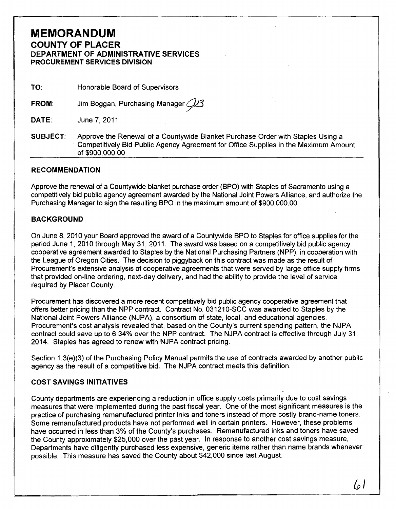# **MEMORANDUM**  COUNTY OF PLACER DEPARTMENT OF ADMINISTRATIVE SERVICES PROCUREMENT SERVICES DIVISION

| TO: | Honorable Board of Supervisors |
|-----|--------------------------------|
|     |                                |

FROM: Jim Boggan, Purchasing Manager  $\cancel{13}$ 

DATE: June 7,2011

SUBJECT: Approve the Renewal of a Countywide Blanket Purchase Order with Staples Using a . Competitively Bid Public Agency Agreement for Office Supplies in the Maximum Amount of \$900,000.00

#### RECOMMENDATION

Approve the renewal of a Countywide blanket purchase order (BPO) with Staples of Sacramento using a competitively bid public agency agreement awarded by the National Joint Powers Alliance, and authorize the Purchasing Manager to sign the resulting BPO in the maximum amount of \$900,000.00.

## BACKGROUND

On June 8, 2010 your Board approved the award of a Countywide BPO to Staples for office supplies for the period June 1, 2010 through May 31, 2011. The award was based on a competitively bid public agency cooperative agreement awarded to Staples by the National Purchasing Partners (NPP), in cooperation with the League of Oregon Cities. The decision to piggyback on this contract was made as the result of Procurement's extensive analysis of cooperative agreements that were served by large office supply firms that provided on-line ordering, next-day delivery, and had the ability to provide the level of service required by Placer County.

Procurement has discovered a more recent competitively bid public agency cooperative agreement that offers better pricing than the NPP contract. Contract No. 031210-SCC was awarded to Staples by the National Joint Powers Alliance (NJPA), a consortium of state, local, and educational agencies. Procurement's cost analysis revealed that, based on the County's current spending pattern, the NJPA contract could save up to 6.34% over the NPP contract. The NJPA contract is effective through July 31, 2014. Staples has agreed to renew with NJPA contract pricing.

Section 1.3(e)(3) of the Purchasing Policy Manual permits the use of contracts awarded by another public agency as the result of a competitive bid. The NJPA contract meets this definition.

## COST SAVINGS INITIATIVES

County departments are experiencing a reduction in office supply costs primarily due to cost savings measures that were implemented during the past fiscal year. One of the most significant measures is the practice of purchasing remanufactured printer inks and toners instead of more costly brand-name toners. Some remanufactured products have not performed well in certain printers. However, these problems have occurred in less than 3% of the County's purchases. Remanufactured inks and toners have saved the County approximately \$25,000 over the past year. In response to another cost savings measure, Departments have diligently purchased less expensive, generic items rather than name brands whenever possible. This measure has saved the County about \$42,000 since last August.